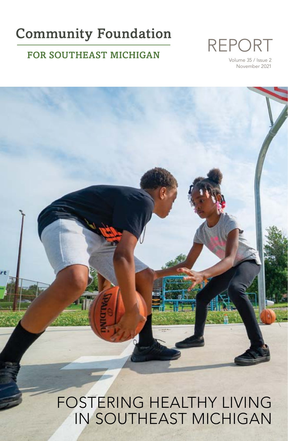## **Community Foundation**

### FOR SOUTHEAST MICHIGAN



Volume 35 / Issue 2 November 2021



FOSTERING HEALTHY LIVING IN SOUTHEAST MICHIGAN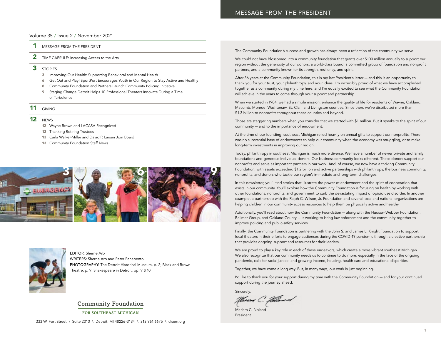### Volume 35 / Issue 2 / November 2021

- 1 MESSAGE FROM THE PRESIDENT
- 2 TIME CAPSULE: Increasing Access to the Arts
- 3 STORIES
	- 3 Improving Our Health: Supporting Behavioral and Mental Health
	- 6 Get Out and Play! SportPort Encourages Youth in Our Region to Stay Active and Healthy
	- 8 Community Foundation and Partners Launch Community Policing Initiative
	- 9 Staging Change Detroit Helps 10 Professional Theaters Innovate During a Time of Turbulence

### 11 GIVING

### 12 NEWS

- 12 Wayne Brown and LACASA Recognized
- 12 Thanking Retiring Trustees
- 13 Carla Walker-Miller and David P. Larsen Join Board
- 13 Community Foundation Staff News





EDITOR: Sherrie Arb WRITERS: Sherrie Arb and Peter Panepento PHOTOGRAPHY: The Detroit Historical Museum, p. 2; Black and Brown Theatre, p. 9; Shakespeare in Detroit, pp. 9 & 10

### **Community Foundation**

FOR SOUTHEAST MICHIGAN

The Community Foundation's success and growth has always been a reflection of the community we serve.

We could not have blossomed into a community foundation that grants over \$100 million annually to support our region without the generosity of our donors, a world-class board, a committed group of foundation and nonprofit partners, and a community known for its strength, resiliency, and spirit.

After 36 years at the Community Foundation, this is my last President's letter — and this is an opportunity to thank you for your trust, your philanthropy, and your ideas. I'm incredibly proud of what we have accomplished together as a community during my time here, and I'm equally excited to see what the Community Foundation will achieve in the years to come through your support and partnership.

When we started in 1984, we had a simple mission: enhance the quality of life for residents of Wayne, Oakland, Macomb, Monroe, Washtenaw, St. Clair, and Livingston counties. Since then, we've distributed more than \$1.3 billion to nonprofits throughout these counties and beyond.

Those are staggering numbers when you consider that we started with \$1 million. But it speaks to the spirit of our community — and to the importance of endowment.

At the time of our founding, southeast Michigan relied heavily on annual gifts to support our nonprofits. There was no substantial base of endowments to help our community when the economy was struggling, or to make long-term investments in improving our region.

Today, philanthropy in southeast Michigan is much more diverse. We have a number of newer private and family foundations and generous individual donors. Our business community looks different. These donors support our nonprofits and serve as important partners in our work. And, of course, we now have a thriving Community Foundation, with assets exceeding \$1.2 billion and active partnerships with philanthropy, the business community, nonprofits, and donors who tackle our region's immediate and long-term challenges.

In this newsletter, you'll find stories that illustrate the power of endowment and the spirit of cooperation that exists in our community. You'll explore how the Community Foundation is focusing on health by working with other foundations, nonprofits, and government to curb the devastating impact of opioid use disorder. In another example, a partnership with the Ralph C. Wilson, Jr. Foundation and several local and national organizations are helping children in our community access resources to help them be physically active and healthy.

Additionally, you'll read about how the Community Foundation — along with the Hudson-Webber Foundation, Ballmer Group, and Oakland County — is working to bring law enforcement and the community together to improve policing and public-safety services.

Finally, the Community Foundation is partnering with the John S. and James L. Knight Foundation to support local theaters in their efforts to engage audiences during the COVID-19 pandemic through a creative partnership that provides ongoing support and resources for their leaders.

We are proud to play a key role in each of these endeavors, which create a more vibrant southeast Michigan. We also recognize that our community needs us to continue to do more, especially in the face of the ongoing pandemic, calls for racial justice, and growing income, housing, health care and educational disparities.

Together, we have come a long way. But, in many ways, our work is just beginning.

I'd like to thank you for your support during my time with the Community Foundation — and for your continued support during the journey ahead.

Sincerely,

Navers C. *Naved* 

Mariam C. Noland President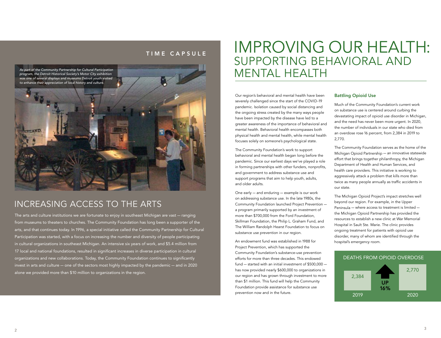### TIME CAPSULE

*As part of the Community Partnership for Cultural Participation program, the Detroit Historical Society's Motor City exhibition was one of several displays and museums Detroit youth visited to enhance their appreciation of local history and culture.*



## INCREASING ACCESS TO THE ARTS

The arts and culture institutions we are fortunate to enjoy in southeast Michigan are vast — ranging from museums to theaters to churches. The Community Foundation has long been a supporter of the arts, and that continues today. In 1996, a special initiative called the Community Partnership for Cultural Participation was started, with a focus on increasing the number and diversity of people participating in cultural organizations in southeast Michigan. An intensive six years of work, and \$5.4 million from 17 local and national foundations, resulted in significant increases in diverse participation in cultural organizations and new collaborations. Today, the Community Foundation continues to significantly invest in arts and culture — one of the sectors most highly impacted by the pandemic — and in 2020 alone we provided more than \$10 million to organizations in the region.

## IMPROVING OUR HEALTH: SUPPORTING BEHAVIORAL AND MENTAL HEALTH

Our region's behavioral and mental health have been severely challenged since the start of the COVID-19 pandemic. Isolation caused by social distancing and the ongoing stress created by the many ways people have been impacted by the disease have led to a greater awareness of the importance of behavioral and mental health. Behavioral health encompasses both physical health and mental health, while mental health focuses solely on someone's psychological state.

The Community Foundation's work to support behavioral and mental health began long before the pandemic. Since our earliest days we've played a role in forming partnerships with other funders, nonprofits, and government to address substance use and support programs that aim to help youth, adults, and older adults.

One early — and enduring — example is our work on addressing substance use. In the late 1980s, the Community Foundation launched Project Prevention a program primarily supported by an investment of more than \$700,000 from the Ford Foundation, Skillman Foundation, the Philip L. Graham Fund, and The William Randolph Hearst Foundation to focus on substance use prevention in our region.

An endowment fund was established in 1988 for Project Prevention, which has supported the Community Foundation's substance-use prevention efforts for more than three decades. This endowed fund — started with an initial investment of \$500,000 has now provided nearly \$600,000 to organizations in our region and has grown through investment to more than \$1 million. This fund will help the Community Foundation provide assistance for substance use prevention now and in the future.

#### Battling Opioid Use

Much of the Community Foundation's current work on substance use is centered around curbing the devastating impact of opioid use disorder in Michigan, and the need has never been more urgent. In 2020, the number of individuals in our state who died from an overdose rose 16 percent, from 2,384 in 2019 to 2,770.

The Community Foundation serves as the home of the Michigan Opioid Partnership — an innovative statewide effort that brings together philanthropy, the Michigan Department of Health and Human Services, and health care providers. This initiative is working to aggressively attack a problem that kills more than twice as many people annually as traffic accidents in our state.

The Michigan Opioid Project's impact stretches well beyond our region. For example, in the Upper Peninsula — where access to treatment is limited the Michigan Opioid Partnership has provided the resources to establish a new clinic at War Memorial Hospital in Sault Ste. Marie. The clinic provides ongoing treatment for patients with opioid use disorder, many of whom are identified through the hospital's emergency room.

#### DEATHS FROM OPIOID OVERDOSE

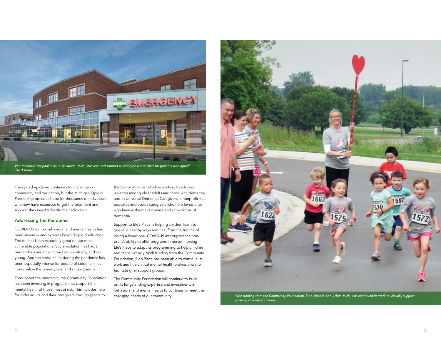

*War Memorial Hospital in Sault Ste Marie, Mich., has received support to establish a new clinic for patients with opioid use disorder.*

The opioid epidemic continues to challenge our community and our nation, but the Michigan Opioid Partnership provides hope for thousands of individuals who now have resources to get the treatment and support they need to battle their addiction.

#### Addressing the Pandemic

COVID-19's toll on behavioral and mental health has been severe — and extends beyond opioid addiction. The toll has been especially great on our most vulnerable populations. Social isolation has had a tremendous negative impact on our elderly and our young. And the stress of life during the pandemic has been especially intense for people of color, families living below the poverty line, and single parents.

Throughout the pandemic, the Community Foundation has been investing in programs that support the mental health of those most at risk. This includes help for older adults and their caregivers through grants to

the Senior Alliance, which is working to address isolation among older adults and those with dementia, and to Universal Dementia Caregivers, a nonprofit that educates and assists caregivers who help loved ones who have Alzheimer's disease and other forms of dementia.

Support to Ele's Place is helping children learn to grieve in healthy ways and heal from the trauma of losing a loved one. COVID-19 interrupted the nonprofit's ability to offer programs in person, forcing Ele's Place to adapt its programming to help children and teens virtually. With funding from the Community Foundation, Ele's Place has been able to continue its work and hire clinical mental-health professionals to facilitate grief support groups.

The Community Foundation will continue to build on its longstanding expertise and investments in behavioral and mental health to continue to meet the changing needs of our community.



*With funding from the Community Foundation, Ele's Place in Ann Arbor, Mich., has continued its work to virtually support grieving children and teens.*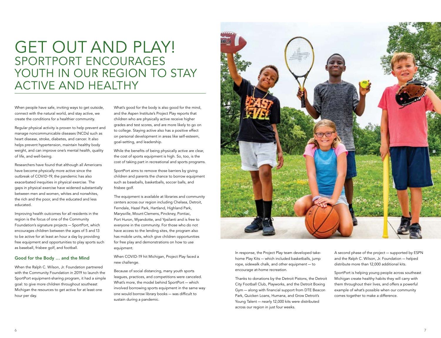## GET OUT AND PLAY! SPORTPORT ENCOURAGES YOUTH IN OUR REGION TO STAY ACTIVE AND HEALTHY

When people have safe, inviting ways to get outside, connect with the natural world, and stay active, we create the conditions for a healthier community.

Regular physical activity is proven to help prevent and manage noncommunicable diseases (NCDs) such as heart disease, stroke, diabetes, and cancer. It also helps prevent hypertension, maintain healthy body weight, and can improve one's mental health, quality of life, and well-being.

Researchers have found that although all Americans have become physically more active since the outbreak of COVID-19, the pandemic has also exacerbated inequities in physical exercise. The gaps in physical exercise have widened substantially between men and women, whites and nonwhites, the rich and the poor, and the educated and less educated.

Improving health outcomes for all residents in the region is the focus of one of the Community Foundation's signature projects — SportPort, which encourages children between the ages of 5 and 13 to be active for at least an hour a day by providing free equipment and opportunities to play sports such as baseball, frisbee golf, and football.

#### Good for the Body … and the Mind

When the Ralph C. Wilson, Jr. Foundation partnered with the Community Foundation in 2019 to launch the SportPort equipment-sharing program, it had a simple goal: to give more children throughout southeast Michigan the resources to get active for at least one hour per day.

What's good for the body is also good for the mind, and the Aspen Institute's Project Play reports that children who are physically active receive higher grades and test scores, and are more likely to go on to college. Staying active also has a positive effect on personal development in areas like self-esteem, goal-setting, and leadership.

While the benefits of being physically active are clear, the cost of sports equipment is high. So, too, is the cost of taking part in recreational and sports programs.

SportPort aims to remove those barriers by giving children and parents the chance to borrow equipment such as baseballs, basketballs, soccer balls, and frisbee golf.

The equipment is available at libraries and community centers across our region including Chelsea, Detroit, Ferndale, Hazel Park, Hartland, Highland Park, Marysville, Mount Clemens, Pinckney, Pontiac, Port Huron, Wyandotte, and Ypsilanti and is free to everyone in the community. For those who do not have access to the lending sites, the program also has mobile units, which give children opportunities for free play and demonstrations on how to use equipment.

When COVID-19 hit Michigan, Project Play faced a new challenge.

Because of social distancing, many youth sports leagues, practices, and competitions were canceled. What's more, the model behind SportPort — which involved borrowing sports equipment in the same way one would borrow library books — was difficult to sustain during a pandemic.



In response, the Project Play team developed takehome Play Kits — which included basketballs, jump rope, sidewalk chalk, and other equipment — to encourage at-home recreation.

Thanks to donations by the Detroit Pistons, the Detroit City Football Club, Playworks, and the Detroit Boxing Gym — along with financial support from DTE Beacon Park, Quicken Loans, Humana, and Grow Detroit's Young Talent — nearly 12,000 kits were distributed across our region in just four weeks.

A second phase of the project — supported by ESPN and the Ralph C. Wilson, Jr. Foundation — helped distribute more than 12,000 additional kits.

SportPort is helping young people across southeast Michigan create healthy habits they will carry with them throughout their lives, and offers a powerful example of what's possible when our community comes together to make a difference.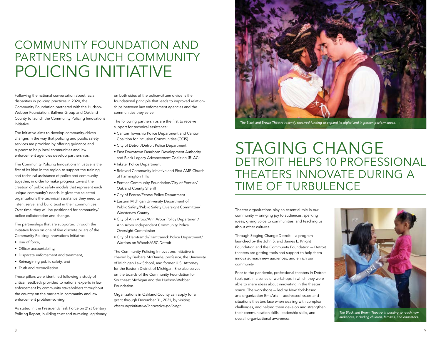## COMMUNITY FOUNDATION AND PARTNERS LAUNCH COMMUNITY POLICING INITIATIVE

Following the national conversation about racial disparities in policing practices in 2020, the Community Foundation partnered with the Hudson-Webber Foundation, Ballmer Group and Oakland County to launch the Community Policing Innovations Initiative.

The Initiative aims to develop community-driven changes in the way that policing and public safety services are provided by offering guidance and support to help local communities and law enforcement agencies develop partnerships.

The Community Policing Innovations Initiative is the first of its kind in the region to support the training and technical assistance of police and community together, in order to make progress toward the creation of public safety models that represent each unique community's needs. It gives the selected organizations the technical assistance they need to listen, serve, and build trust in their communities. Over time, they will be positioned for community/ police collaboration and change.

The partnerships that are supported through the Initiative focus on one of five discrete pillars of the Community Policing Innovations Initiative:

- Use of force,
- Officer accountability,
- Disparate enforcement and treatment,
- Reimagining public safety, and
- Truth and reconciliation.

These pillars were identified following a study of critical feedback provided to national experts in law enforcement by community stakeholders throughout the country on the barriers in community and law enforcement problem-solving.

As stated in the President's Task Force on 21st Century Policing Report, building trust and nurturing legitimacy

on both sides of the police/citizen divide is the foundational principle that leads to improved relationships between law enforcement agencies and the communities they serve.

The following partnerships are the first to receive support for technical assistance:

- Canton Township Police Department and Canton Coalition for Inclusive Communities (CCIS)
- City of Detroit/Detroit Police Department
- East Downtown Dearborn Development Authority and Black Legacy Advancement Coalition (BLAC)
- Inkster Police Department
- Beloved Community Initiative and First AME Church of Farmington Hills
- Pontiac Community Foundation/City of Pontiac/ Oakland County Sheriff
- City of Ecorse/Ecorse Police Department
- Eastern Michigan University Department of Public Safety/Public Safety Oversight Committee/ Washtenaw County
- City of Ann Arbor/Ann Arbor Policy Department/ Ann Arbor Independent Community Police Oversight Commission
- City of Hamtramck/Hamtramck Police Department/ Warriors on Wheels/ARC Detroit

The Community Policing Innovations Initiative is chaired by Barbara McQuade, professor, the University of Michigan Law School, and former U.S. Attorney for the Eastern District of Michigan. She also serves on the boards of the Community Foundation for Southeast Michigan and the Hudson-Webber Foundation.

Organizations in Oakland County can apply for a grant through December 31, 2021, by visiting *cfsem.org/initiative/innovative-policing/*.



*The Black and Brown Theatre recently received funding to expand its digital and in-person performances.*

## STAGING CHANGE DETROIT HELPS 10 PROFESSIONAL THEATERS INNOVATE DURING A TIME OF TURBULENCE

Theater organizations play an essential role in our community — bringing joy to audiences, sparking ideas, giving voice to communities, and teaching us about other cultures.

Through Staging Change Detroit — a program launched by the John S. and James L. Knight Foundation and the Community Foundation — Detroit theaters are getting tools and support to help them innovate, reach new audiences, and enrich our community.

Prior to the pandemic, professional theaters in Detroit took part in a series of workshops in which they were able to share ideas about innovating in the theater space. The workshops — led by New York-based arts organization EmcArts — addressed issues and situations theaters face when dealing with complex challenges, and helped them develop and strengthen their communication skills, leadership skills, and overall organizational awareness.



*The Black and Brown Theatre is working to reach new audiences, including children, families, and educators.*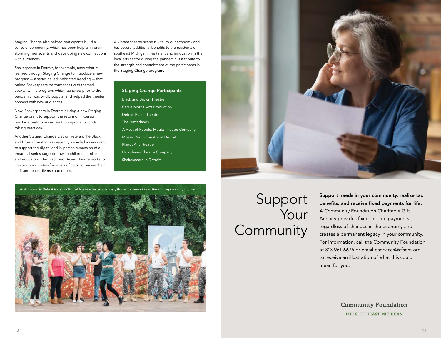Staging Change also helped participants build a sense of community, which has been helpful in brainstorming new events and developing new connections with audiences.

Shakespeare in Detroit, for example, used what it learned through Staging Change to introduce a new program — a series called Inebriated Reading — that paired Shakespeare performances with themed cocktails. The program, which launched prior to the pandemic, was wildly popular and helped the theater connect with new audiences.

Now, Shakespeare in Detroit is using a new Staging Change grant to support the return of in-person, on-stage performances, and to improve its fundraising practices.

Another Staging Change Detroit veteran, the Black and Brown Theatre, was recently awarded a new grant to support the digital and in-person expansion of a theatrical series targeted toward children, families, and educators. The Black and Brown Theatre works to create opportunities for artists of color to pursue their craft and reach diverse audiences.

A vibrant theater scene is vital to our economy and has several additional benefits to the residents of southeast Michigan. The talent and innovation in the local arts sector during the pandemic is a tribute to the strength and commitment of the participants in the Staging Change program.

Staging Change Participants Black and Brown Theatre Carrie Morris Arts Production Detroit Public Theatre The Hinterlands A Host of People, Matrix Theatre Company Mosaic Youth Theatre of Detroit Planet Ant Theatre Plowshares Theatre Company Shakespeare in Detroit





# Support Your Community

Support needs in your community, realize tax benefits, and receive fixed payments for life. A Community Foundation Charitable Gift Annuity provides fixed-income payments regardless of changes in the economy and creates a permanent legacy in your community. For information, call the Community Foundation at 313.961.6675 or email pservices@cfsem.org to receive an illustration of what this could mean for you.

> **Community Foundation** FOR SOUTHEAST MICHIGAN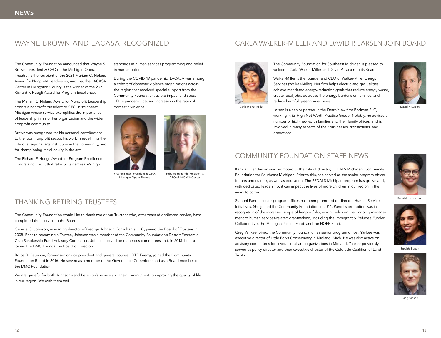The Community Foundation announced that Wayne S. Brown, president & CEO of the Michigan Opera Theatre, is the recipient of the 2021 Mariam C. Noland Award for Nonprofit Leadership, and that the LACASA Center in Livingston County is the winner of the 2021 Richard F. Huegli Award for Program Excellence.

The Mariam C. Noland Award for Nonprofit Leadership honors a nonprofit president or CEO in southeast Michigan whose service exemplifies the importance of leadership in his or her organization and the wider nonprofit community.

Brown was recognized for his personal contributions to the local nonprofit sector, his work in redefining the role of a regional arts institution in the community, and for championing racial equity in the arts.

The Richard F. Huegli Award for Program Excellence honors a nonprofit that reflects its namesake's high

standards in human services programming and belief in human potential.

During the COVID-19 pandemic, LACASA was among a cohort of domestic violence organizations across the region that received special support from the Community Foundation, as the impact and stress of the pandemic caused increases in the rates of domestic violence.



Wayne Brown, President & CEO, Michigan Opera Theatre

Bobette Schrandt, President & CEO of LACASA Center

### THANKING RETIRING TRUSTEES

The Community Foundation would like to thank two of our Trustees who, after years of dedicated service, have completed their service to the Board.

George G. Johnson, managing director of George Johnson Consultants, LLC, joined the Board of Trustees in 2008. Prior to becoming a Trustee, Johnson was a member of the Community Foundation's Detroit Economic Club Scholarship Fund Advisory Committee. Johnson served on numerous committees and, in 2013, he also joined the DMC Foundation Board of Directors.

Bruce D. Peterson, former senior vice president and general counsel, DTE Energy, joined the Community Foundation Board in 2016. He served as a member of the Governance Committee and as a Board member of the DMC Foundation.

We are grateful for both Johnson's and Peterson's service and their commitment to improving the quality of life in our region. We wish them well.

### WAYNE BROWN AND LACASA RECOGNIZED CARLA WALKER-MILLER AND DAVID P. LARSEN JOIN BOARD



The Community Foundation for Southeast Michigan is pleased to welcome Carla Walker-Miller and David P. Larsen to its Board.

Walker-Miller is the founder and CEO of Walker-Miller Energy Services (Walker-Miller). Her firm helps electric and gas utilities achieve mandated energy-reduction goals that reduce energy waste, create local jobs, decrease the energy burdens on families, and reduce harmful greenhouse gases.



Larsen is a senior partner in the Detroit law firm Bodman PLC, Carla Walker-Miller David P. Larsen working in its High Net Worth Practice Group. Notably, he advises a number of high-net-worth families and their family offices, and is involved in many aspects of their businesses, transactions, and operations.

### COMMUNITY FOUNDATION STAFF NEWS

Kamilah Henderson was promoted to the role of director, PEDALS Michigan, Community Foundation for Southeast Michigan. Prior to this, she served as the senior program officer for arts and culture, as well as education. The PEDALS Michigan program has grown and, with dedicated leadership, it can impact the lives of more children in our region in the years to come.



Kamilah Henderson

Surabhi Pandit, senior program officer, has been promoted to director, Human Services Initiatives. She joined the Community Foundation in 2014. Pandit's promotion was in recognition of the increased scope of her portfolio, which builds on the ongoing management of human services-related grantmaking, including the Immigrant & Refugee Funder Collaborative, the Michigan Justice Fund, and the HOPE Fund.

Greg Yankee joined the Community Foundation as senior program officer. Yankee was executive director of Little Forks Conservancy in Midland, Mich. He was also active on advisory committees for several local arts organizations in Midland. Yankee previously served as policy director and then executive director of the Colorado Coalition of Land Trusts.



Surabhi Pandit



Greg Yankee